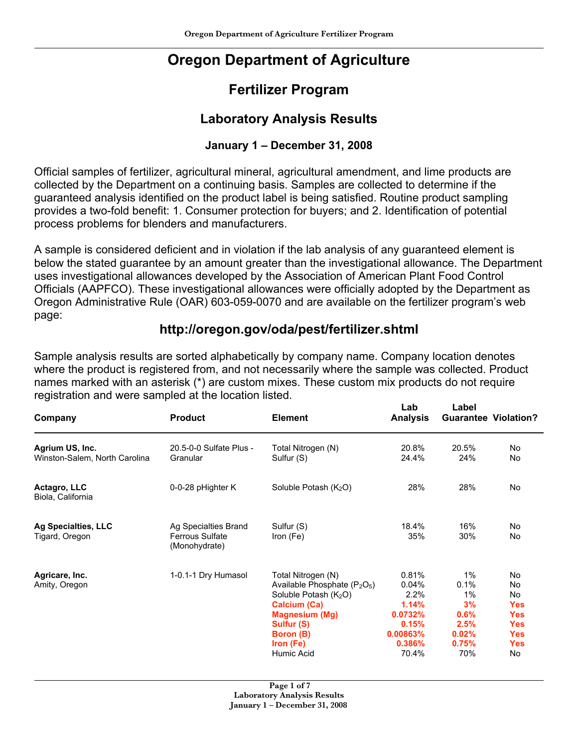# **Oregon Department of Agriculture**

## **Fertilizer Program**

### **Laboratory Analysis Results**

### **January 1 – December 31, 2008**

Official samples of fertilizer, agricultural mineral, agricultural amendment, and lime products are collected by the Department on a continuing basis. Samples are collected to determine if the guaranteed analysis identified on the product label is being satisfied. Routine product sampling provides a two-fold benefit: 1. Consumer protection for buyers; and 2. Identification of potential process problems for blenders and manufacturers.

A sample is considered deficient and in violation if the lab analysis of any guaranteed element is below the stated guarantee by an amount greater than the investigational allowance. The Department uses investigational allowances developed by the Association of American Plant Food Control Officials (AAPFCO). These investigational allowances were officially adopted by the Department as Oregon Administrative Rule (OAR) 603-059-0070 and are available on the fertilizer program's web page:

### **http://oregon.gov/oda/pest/fertilizer.shtml**

Sample analysis results are sorted alphabetically by company name. Company location denotes where the product is registered from, and not necessarily where the sample was collected. Product names marked with an asterisk (\*) are custom mixes. These custom mix products do not require registration and were sampled at the location listed.

 **Lab Label**

| <b>Product</b>          | <b>Element</b>                                            | <b>Analysis</b>                                                                                       | <b>Guarantee Violation?</b> |            |
|-------------------------|-----------------------------------------------------------|-------------------------------------------------------------------------------------------------------|-----------------------------|------------|
| 20.5-0-0 Sulfate Plus - | Total Nitrogen (N)                                        | 20.8%                                                                                                 | 20.5%                       | No         |
|                         |                                                           |                                                                                                       |                             | No         |
| 0-0-28 pHighter K       | Soluble Potash $(K_2O)$                                   | 28%                                                                                                   | 28%                         | No         |
| Ag Specialties Brand    | Sulfur (S)                                                | 18.4%                                                                                                 | 16%                         | No         |
| (Monohydrate)           |                                                           |                                                                                                       |                             | No         |
|                         |                                                           | 0.81%                                                                                                 | 1%                          | No.        |
|                         |                                                           | 0.04%                                                                                                 | 0.1%                        | No         |
|                         | Soluble Potash (K <sub>2</sub> O)                         | 2.2%                                                                                                  | 1%                          | No         |
|                         | <b>Calcium (Ca)</b>                                       | 1.14%                                                                                                 | 3%                          | <b>Yes</b> |
|                         | <b>Magnesium (Mg)</b>                                     | 0.0732%                                                                                               | 0.6%                        | <b>Yes</b> |
|                         | Sulfur (S)                                                | 0.15%                                                                                                 | 2.5%                        | <b>Yes</b> |
|                         | Boron (B)                                                 | 0.00863%                                                                                              | 0.02%                       | <b>Yes</b> |
|                         | Iron (Fe)                                                 | 0.386%                                                                                                | 0.75%                       | <b>Yes</b> |
|                         | Humic Acid                                                | 70.4%                                                                                                 | 70%                         | No         |
|                         | Granular<br><b>Ferrous Sulfate</b><br>1-0.1-1 Dry Humasol | Sulfur (S)<br>Iron (Fe)<br>Total Nitrogen (N)<br>Available Phosphate (P <sub>2</sub> O <sub>5</sub> ) | 24.4%<br>35%                | 24%<br>30% |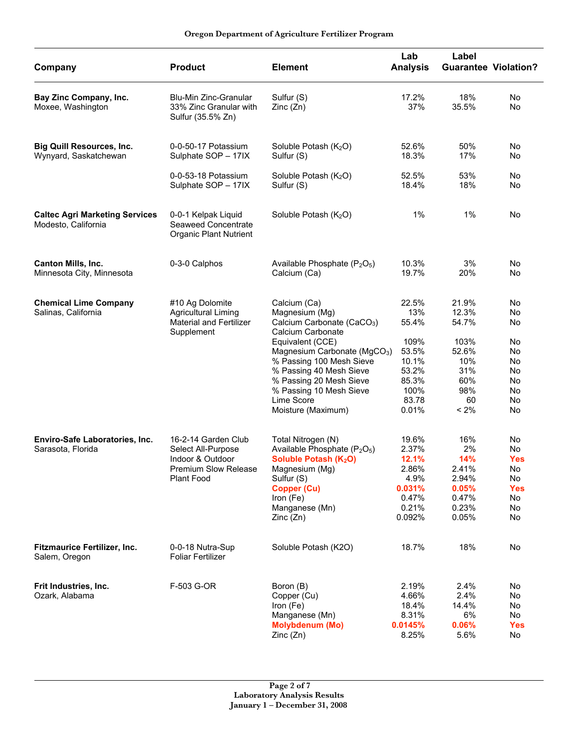#### **Oregon Department of Agriculture Fertilizer Program**

| Company                                                      | <b>Product</b>                                                                                                    | <b>Element</b>                                                                                                                                                                                              | Lab<br><b>Analysis</b>                                                         | Label                                                                  | <b>Guarantee Violation?</b>                                         |
|--------------------------------------------------------------|-------------------------------------------------------------------------------------------------------------------|-------------------------------------------------------------------------------------------------------------------------------------------------------------------------------------------------------------|--------------------------------------------------------------------------------|------------------------------------------------------------------------|---------------------------------------------------------------------|
| Bay Zinc Company, Inc.<br>Moxee, Washington                  | <b>Blu-Min Zinc-Granular</b><br>33% Zinc Granular with<br>Sulfur (35.5% Zn)                                       | Sulfur (S)<br>Zinc(Zn)                                                                                                                                                                                      | 17.2%<br>37%                                                                   | 18%<br>35.5%                                                           | No<br>No                                                            |
| <b>Big Quill Resources, Inc.</b><br>Wynyard, Saskatchewan    | 0-0-50-17 Potassium<br>Sulphate SOP - 17IX                                                                        | Soluble Potash (K <sub>2</sub> O)<br>Sulfur (S)                                                                                                                                                             | 52.6%<br>18.3%                                                                 | 50%<br>17%                                                             | No<br>No                                                            |
|                                                              | 0-0-53-18 Potassium<br>Sulphate SOP - 17IX                                                                        | Soluble Potash (K <sub>2</sub> O)<br>Sulfur (S)                                                                                                                                                             | 52.5%<br>18.4%                                                                 | 53%<br>18%                                                             | No<br>No                                                            |
| <b>Caltec Agri Marketing Services</b><br>Modesto, California | 0-0-1 Kelpak Liquid<br>Seaweed Concentrate<br><b>Organic Plant Nutrient</b>                                       | Soluble Potash (K2O)                                                                                                                                                                                        | $1\%$                                                                          | $1\%$                                                                  | No                                                                  |
| <b>Canton Mills, Inc.</b><br>Minnesota City, Minnesota       | 0-3-0 Calphos                                                                                                     | Available Phosphate (P <sub>2</sub> O <sub>5</sub> )<br>Calcium (Ca)                                                                                                                                        | 10.3%<br>19.7%                                                                 | 3%<br>20%                                                              | No<br>No                                                            |
| <b>Chemical Lime Company</b><br>Salinas, California          | #10 Ag Dolomite<br><b>Agricultural Liming</b><br><b>Material and Fertilizer</b><br>Supplement                     | Calcium (Ca)<br>Magnesium (Mg)<br>Calcium Carbonate (CaCO <sub>3</sub> )<br>Calcium Carbonate<br>Equivalent (CCE)                                                                                           | 22.5%<br>13%<br>55.4%<br>109%                                                  | 21.9%<br>12.3%<br>54.7%<br>103%                                        | No<br>No<br>No<br>No                                                |
|                                                              |                                                                                                                   | Magnesium Carbonate (MgCO <sub>3</sub> )<br>% Passing 100 Mesh Sieve<br>% Passing 40 Mesh Sieve<br>% Passing 20 Mesh Sieve<br>% Passing 10 Mesh Sieve<br>Lime Score<br>Moisture (Maximum)                   | 53.5%<br>10.1%<br>53.2%<br>85.3%<br>100%<br>83.78<br>0.01%                     | 52.6%<br>10%<br>31%<br>60%<br>98%<br>60<br>$< 2\%$                     | No<br>No<br>No<br>No<br>No<br>No<br>No                              |
| Enviro-Safe Laboratories, Inc.<br>Sarasota, Florida          | 16-2-14 Garden Club<br>Select All-Purpose<br>Indoor & Outdoor<br><b>Premium Slow Release</b><br><b>Plant Food</b> | Total Nitrogen (N)<br>Available Phosphate (P <sub>2</sub> O <sub>5</sub> )<br>Soluble Potash (K <sub>2</sub> O)<br>Magnesium (Mg)<br>Sulfur (S)<br>Copper (Cu)<br>Iron $(Fe)$<br>Manganese (Mn)<br>Zinc(Zn) | 19.6%<br>2.37%<br>12.1%<br>2.86%<br>4.9%<br>0.031%<br>0.47%<br>0.21%<br>0.092% | 16%<br>2%<br>14%<br>2.41%<br>2.94%<br>0.05%<br>0.47%<br>0.23%<br>0.05% | No<br>No<br><b>Yes</b><br>No<br>No<br><b>Yes</b><br>No<br>No.<br>No |
| Fitzmaurice Fertilizer, Inc.<br>Salem, Oregon                | 0-0-18 Nutra-Sup<br><b>Foliar Fertilizer</b>                                                                      | Soluble Potash (K2O)                                                                                                                                                                                        | 18.7%                                                                          | 18%                                                                    | No                                                                  |
| Frit Industries, Inc.<br>Ozark, Alabama                      | F-503 G-OR                                                                                                        | Boron (B)<br>Copper (Cu)<br>Iron (Fe)<br>Manganese (Mn)<br><b>Molybdenum (Mo)</b><br>Zinc(Zn)                                                                                                               | 2.19%<br>4.66%<br>18.4%<br>8.31%<br>0.0145%<br>8.25%                           | 2.4%<br>2.4%<br>14.4%<br>6%<br>0.06%<br>5.6%                           | No<br>No.<br>No<br>No<br><b>Yes</b><br>No.                          |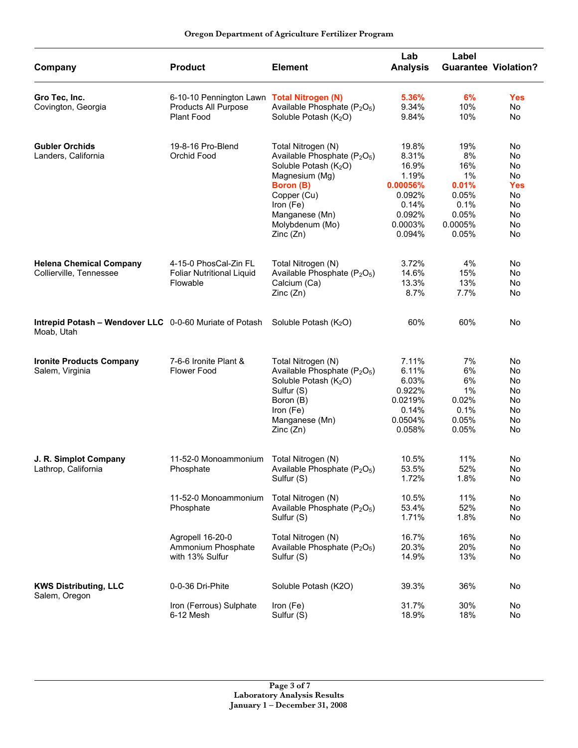| Oregon Department of Agriculture Fertilizer Program |  |  |  |
|-----------------------------------------------------|--|--|--|
|-----------------------------------------------------|--|--|--|

| Company                                                                                                | <b>Product</b>                                                                   | <b>Element</b>                                                                                                                                                                                                               | Lab<br><b>Analysis</b>                                                                         | Label<br><b>Guarantee Violation?</b>                                             |                                                                  |
|--------------------------------------------------------------------------------------------------------|----------------------------------------------------------------------------------|------------------------------------------------------------------------------------------------------------------------------------------------------------------------------------------------------------------------------|------------------------------------------------------------------------------------------------|----------------------------------------------------------------------------------|------------------------------------------------------------------|
| Gro Tec, Inc.<br>Covington, Georgia                                                                    | 6-10-10 Pennington Lawn Total Nitrogen (N)<br>Products All Purpose<br>Plant Food | Available Phosphate (P <sub>2</sub> O <sub>5</sub> )<br>Soluble Potash (K <sub>2</sub> O)                                                                                                                                    | 5.36%<br>9.34%<br>9.84%                                                                        | 6%<br>10%<br>10%                                                                 | <b>Yes</b><br>No<br>No                                           |
| <b>Gubler Orchids</b><br>Landers, California                                                           | 19-8-16 Pro-Blend<br>Orchid Food                                                 | Total Nitrogen (N)<br>Available Phosphate (P <sub>2</sub> O <sub>5</sub> )<br>Soluble Potash (K <sub>2</sub> O)<br>Magnesium (Mg)<br>Boron (B)<br>Copper (Cu)<br>Iron (Fe)<br>Manganese (Mn)<br>Molybdenum (Mo)<br>Zinc (Zn) | 19.8%<br>8.31%<br>16.9%<br>1.19%<br>0.00056%<br>0.092%<br>0.14%<br>0.092%<br>0.0003%<br>0.094% | 19%<br>8%<br>16%<br>$1\%$<br>0.01%<br>0.05%<br>0.1%<br>0.05%<br>0.0005%<br>0.05% | No<br>No<br>No<br>No<br><b>Yes</b><br>No<br>No<br>No<br>No<br>No |
| <b>Helena Chemical Company</b><br>Collierville, Tennessee                                              | 4-15-0 PhosCal-Zin FL<br><b>Foliar Nutritional Liquid</b><br>Flowable            | Total Nitrogen (N)<br>Available Phosphate (P <sub>2</sub> O <sub>5</sub> )<br>Calcium (Ca)<br>Zinc(Zn)                                                                                                                       | 3.72%<br>14.6%<br>13.3%<br>8.7%                                                                | 4%<br>15%<br>13%<br>7.7%                                                         | No<br>No<br>No<br>No                                             |
| <b>Intrepid Potash – Wendover LLC</b> 0-0-60 Muriate of Potash Soluble Potash ( $K_2O$ )<br>Moab, Utah |                                                                                  |                                                                                                                                                                                                                              | 60%                                                                                            | 60%                                                                              | No                                                               |
| <b>Ironite Products Company</b><br>Salem, Virginia                                                     | 7-6-6 Ironite Plant &<br><b>Flower Food</b>                                      | Total Nitrogen (N)<br>Available Phosphate (P <sub>2</sub> O <sub>5</sub> )<br>Soluble Potash (K <sub>2</sub> O)<br>Sulfur (S)<br>Boron (B)<br>Iron (Fe)<br>Manganese (Mn)<br>Zinc (Zn)                                       | 7.11%<br>6.11%<br>6.03%<br>0.922%<br>0.0219%<br>0.14%<br>0.0504%<br>0.058%                     | 7%<br>6%<br>6%<br>1%<br>0.02%<br>0.1%<br>0.05%<br>0.05%                          | No<br>No<br>No<br>No<br>No<br>No<br>No<br>No                     |
| J. R. Simplot Company<br>Lathrop, California                                                           | 11-52-0 Monoammonium<br>Phosphate                                                | Total Nitrogen (N)<br>Available Phosphate (P <sub>2</sub> O <sub>5</sub> )<br>Sulfur (S)                                                                                                                                     | 10.5%<br>53.5%<br>1.72%                                                                        | 11%<br>52%<br>1.8%                                                               | No<br>No<br>No                                                   |
|                                                                                                        | 11-52-0 Monoammonium<br>Phosphate                                                | Total Nitrogen (N)<br>Available Phosphate (P <sub>2</sub> O <sub>5</sub> )<br>Sulfur (S)                                                                                                                                     | 10.5%<br>53.4%<br>1.71%                                                                        | 11%<br>52%<br>1.8%                                                               | No<br>No<br>No                                                   |
|                                                                                                        | Agropell 16-20-0<br>Ammonium Phosphate<br>with 13% Sulfur                        | Total Nitrogen (N)<br>Available Phosphate (P <sub>2</sub> O <sub>5</sub> )<br>Sulfur (S)                                                                                                                                     | 16.7%<br>20.3%<br>14.9%                                                                        | 16%<br>20%<br>13%                                                                | No<br>No<br>No                                                   |
| <b>KWS Distributing, LLC</b><br>Salem, Oregon                                                          | 0-0-36 Dri-Phite                                                                 | Soluble Potash (K2O)                                                                                                                                                                                                         | 39.3%                                                                                          | 36%                                                                              | No                                                               |
|                                                                                                        | Iron (Ferrous) Sulphate<br>6-12 Mesh                                             | Iron (Fe)<br>Sulfur (S)                                                                                                                                                                                                      | 31.7%<br>18.9%                                                                                 | 30%<br>18%                                                                       | No<br>No                                                         |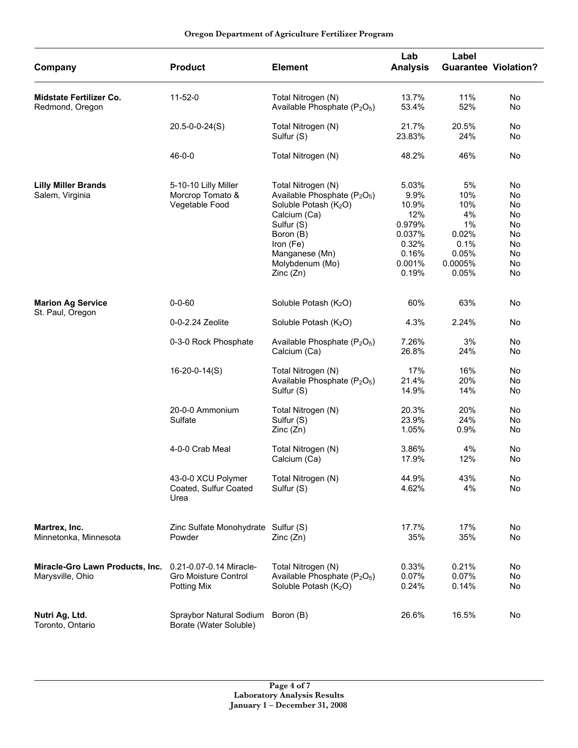| Company                                             | <b>Product</b>                                                 | <b>Element</b>                                                                                                                                                                                                           | Lab<br><b>Analysis</b>                                                                 | Label<br><b>Guarantee Violation?</b>                                          |                                                          |
|-----------------------------------------------------|----------------------------------------------------------------|--------------------------------------------------------------------------------------------------------------------------------------------------------------------------------------------------------------------------|----------------------------------------------------------------------------------------|-------------------------------------------------------------------------------|----------------------------------------------------------|
| <b>Midstate Fertilizer Co.</b><br>Redmond, Oregon   | $11 - 52 - 0$                                                  | Total Nitrogen (N)<br>Available Phosphate (P <sub>2</sub> O <sub>5</sub> )                                                                                                                                               | 13.7%<br>53.4%                                                                         | 11%<br>52%                                                                    | No<br>No                                                 |
|                                                     | $20.5 - 0 - 0 - 24(S)$                                         | Total Nitrogen (N)<br>Sulfur (S)                                                                                                                                                                                         | 21.7%<br>23.83%                                                                        | 20.5%<br>24%                                                                  | No<br>No                                                 |
|                                                     | $46 - 0 - 0$                                                   | Total Nitrogen (N)                                                                                                                                                                                                       | 48.2%                                                                                  | 46%                                                                           | No                                                       |
| <b>Lilly Miller Brands</b><br>Salem, Virginia       | 5-10-10 Lilly Miller<br>Morcrop Tomato &<br>Vegetable Food     | Total Nitrogen (N)<br>Available Phosphate (P <sub>2</sub> O <sub>5</sub> )<br>Soluble Potash (K <sub>2</sub> O)<br>Calcium (Ca)<br>Sulfur (S)<br>Boron (B)<br>Iron (Fe)<br>Manganese (Mn)<br>Molybdenum (Mo)<br>Zinc(Zn) | 5.03%<br>9.9%<br>10.9%<br>12%<br>0.979%<br>0.037%<br>0.32%<br>0.16%<br>0.001%<br>0.19% | 5%<br>10%<br>10%<br>4%<br>$1\%$<br>0.02%<br>0.1%<br>0.05%<br>0.0005%<br>0.05% | No<br>No<br>No<br>No<br>No<br>No<br>No<br>No<br>No<br>No |
| <b>Marion Ag Service</b><br>St. Paul, Oregon        | $0 - 0 - 60$                                                   | Soluble Potash (K <sub>2</sub> O)                                                                                                                                                                                        | 60%                                                                                    | 63%                                                                           | No                                                       |
|                                                     | 0-0-2.24 Zeolite                                               | Soluble Potash (K <sub>2</sub> O)                                                                                                                                                                                        | 4.3%                                                                                   | 2.24%                                                                         | No                                                       |
|                                                     | 0-3-0 Rock Phosphate                                           | Available Phosphate (P <sub>2</sub> O <sub>5</sub> )<br>Calcium (Ca)                                                                                                                                                     | 7.26%<br>26.8%                                                                         | 3%<br>24%                                                                     | No<br>No                                                 |
|                                                     | $16 - 20 - 0 - 14(S)$                                          | Total Nitrogen (N)<br>Available Phosphate (P <sub>2</sub> O <sub>5</sub> )<br>Sulfur (S)                                                                                                                                 | 17%<br>21.4%<br>14.9%                                                                  | 16%<br>20%<br>14%                                                             | No<br>No<br>No                                           |
|                                                     | 20-0-0 Ammonium<br>Sulfate                                     | Total Nitrogen (N)<br>Sulfur (S)<br>Zinc (Zn)                                                                                                                                                                            | 20.3%<br>23.9%<br>1.05%                                                                | 20%<br>24%<br>0.9%                                                            | No<br>No<br>No                                           |
|                                                     | 4-0-0 Crab Meal                                                | Total Nitrogen (N)<br>Calcium (Ca)                                                                                                                                                                                       | 3.86%<br>17.9%                                                                         | 4%<br>12%                                                                     | No<br>No                                                 |
|                                                     | 43-0-0 XCU Polymer<br>Coated, Sulfur Coated<br>Urea            | Total Nitrogen (N)<br>Sulfur (S)                                                                                                                                                                                         | 44.9%<br>4.62%                                                                         | 43%<br>4%                                                                     | No<br>No                                                 |
| Martrex, Inc.<br>Minnetonka, Minnesota              | Zinc Sulfate Monohydrate Sulfur (S)<br>Powder                  | Zinc (Zn)                                                                                                                                                                                                                | 17.7%<br>35%                                                                           | 17%<br>35%                                                                    | No<br>No                                                 |
| Miracle-Gro Lawn Products, Inc.<br>Marysville, Ohio | 0.21-0.07-0.14 Miracle-<br>Gro Moisture Control<br>Potting Mix | Total Nitrogen (N)<br>Available Phosphate (P <sub>2</sub> O <sub>5</sub> )<br>Soluble Potash (K <sub>2</sub> O)                                                                                                          | 0.33%<br>0.07%<br>0.24%                                                                | 0.21%<br>0.07%<br>0.14%                                                       | No<br>No<br>No                                           |
| Nutri Ag, Ltd.<br>Toronto, Ontario                  | Spraybor Natural Sodium<br>Borate (Water Soluble)              | Boron (B)                                                                                                                                                                                                                | 26.6%                                                                                  | 16.5%                                                                         | No                                                       |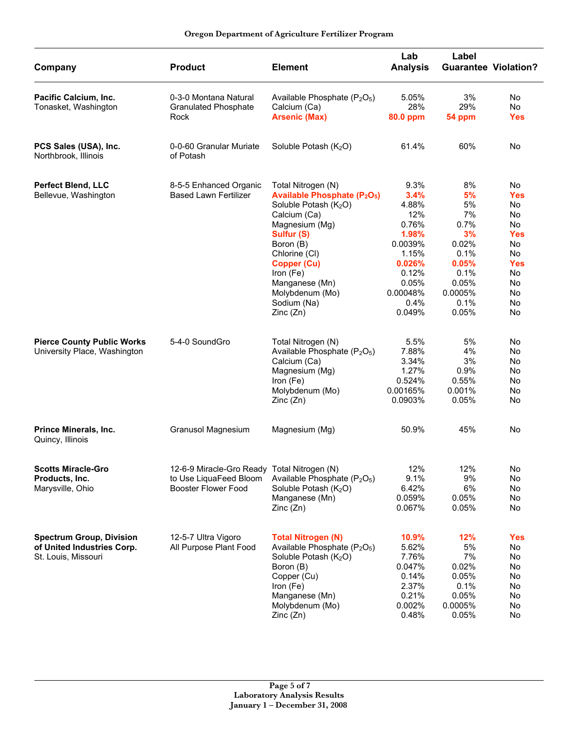| Company                                                                              | <b>Product</b>                                                                                      | <b>Element</b>                                                                                                                                                                                                                                                                                | Lab<br><b>Analysis</b>                                                                                                       | Label                                                                                                     | <b>Guarantee Violation?</b>                                                                              |
|--------------------------------------------------------------------------------------|-----------------------------------------------------------------------------------------------------|-----------------------------------------------------------------------------------------------------------------------------------------------------------------------------------------------------------------------------------------------------------------------------------------------|------------------------------------------------------------------------------------------------------------------------------|-----------------------------------------------------------------------------------------------------------|----------------------------------------------------------------------------------------------------------|
| Pacific Calcium, Inc.<br>Tonasket, Washington                                        | 0-3-0 Montana Natural<br><b>Granulated Phosphate</b><br>Rock                                        | Available Phosphate (P <sub>2</sub> O <sub>5</sub> )<br>Calcium (Ca)<br><b>Arsenic (Max)</b>                                                                                                                                                                                                  | 5.05%<br>28%<br>80.0 ppm                                                                                                     | 3%<br>29%<br>54 ppm                                                                                       | No<br>No<br><b>Yes</b>                                                                                   |
| PCS Sales (USA), Inc.<br>Northbrook, Illinois                                        | 0-0-60 Granular Muriate<br>of Potash                                                                | Soluble Potash (K2O)                                                                                                                                                                                                                                                                          | 61.4%                                                                                                                        | 60%                                                                                                       | No                                                                                                       |
| <b>Perfect Blend, LLC</b><br>Bellevue, Washington                                    | 8-5-5 Enhanced Organic<br><b>Based Lawn Fertilizer</b>                                              | Total Nitrogen (N)<br><b>Available Phosphate (P<sub>2</sub>O<sub>5</sub>)</b><br>Soluble Potash (K <sub>2</sub> O)<br>Calcium (Ca)<br>Magnesium (Mg)<br>Sulfur (S)<br>Boron (B)<br>Chlorine (CI)<br>Copper (Cu)<br>Iron (Fe)<br>Manganese (Mn)<br>Molybdenum (Mo)<br>Sodium (Na)<br>Zinc (Zn) | 9.3%<br>3.4%<br>4.88%<br>12%<br>0.76%<br>1.98%<br>0.0039%<br>1.15%<br>0.026%<br>0.12%<br>0.05%<br>0.00048%<br>0.4%<br>0.049% | 8%<br>5%<br>5%<br>7%<br>0.7%<br>3%<br>0.02%<br>0.1%<br>0.05%<br>0.1%<br>0.05%<br>0.0005%<br>0.1%<br>0.05% | No<br><b>Yes</b><br>No<br>No<br>No<br><b>Yes</b><br>No<br>No<br><b>Yes</b><br>No<br>No<br>No<br>No<br>No |
| <b>Pierce County Public Works</b><br>University Place, Washington                    | 5-4-0 SoundGro                                                                                      | Total Nitrogen (N)<br>Available Phosphate (P <sub>2</sub> O <sub>5</sub> )<br>Calcium (Ca)<br>Magnesium (Mg)<br>Iron $(Fe)$<br>Molybdenum (Mo)<br>Zinc(Zn)                                                                                                                                    | 5.5%<br>7.88%<br>3.34%<br>1.27%<br>0.524%<br>0.00165%<br>0.0903%                                                             | 5%<br>4%<br>3%<br>0.9%<br>0.55%<br>0.001%<br>0.05%                                                        | No<br>No<br>No<br>No<br>No<br>No<br>No                                                                   |
| Prince Minerals, Inc.<br>Quincy, Illinois                                            | Granusol Magnesium                                                                                  | Magnesium (Mg)                                                                                                                                                                                                                                                                                | 50.9%                                                                                                                        | 45%                                                                                                       | No                                                                                                       |
| <b>Scotts Miracle-Gro</b><br>Products, Inc.<br>Marysville, Ohio                      | 12-6-9 Miracle-Gro Ready Total Nitrogen (N)<br>to Use LiquaFeed Bloom<br><b>Booster Flower Food</b> | Available Phosphate $(P_2O_5)$<br>Soluble Potash (K <sub>2</sub> O)<br>Manganese (Mn)<br>Zinc(Zn)                                                                                                                                                                                             | 12%<br>9.1%<br>6.42%<br>0.059%<br>0.067%                                                                                     | 12%<br>9%<br>6%<br>0.05%<br>0.05%                                                                         | No<br>No<br>No<br>No<br>No.                                                                              |
| <b>Spectrum Group, Division</b><br>of United Industries Corp.<br>St. Louis, Missouri | 12-5-7 Ultra Vigoro<br>All Purpose Plant Food                                                       | <b>Total Nitrogen (N)</b><br>Available Phosphate (P <sub>2</sub> O <sub>5</sub> )<br>Soluble Potash (K <sub>2</sub> O)<br>Boron (B)<br>Copper (Cu)<br>Iron (Fe)<br>Manganese (Mn)<br>Molybdenum (Mo)<br>Zinc(Zn)                                                                              | 10.9%<br>5.62%<br>7.76%<br>0.047%<br>0.14%<br>2.37%<br>0.21%<br>0.002%<br>0.48%                                              | 12%<br>5%<br>7%<br>0.02%<br>0.05%<br>0.1%<br>0.05%<br>0.0005%<br>0.05%                                    | <b>Yes</b><br>No<br>No<br>No<br>No<br>No<br>No<br>No<br>No                                               |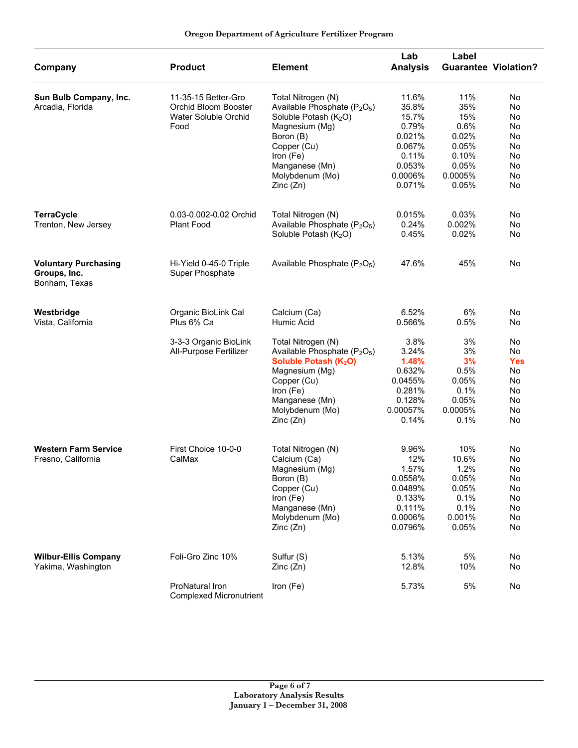| Company                                                      | <b>Product</b>                                                                       | <b>Element</b>                                                                                                                                                                                                                               | Lab<br><b>Analysis</b>                                                                                  | Label<br><b>Guarantee Violation?</b>                                              |                                                                               |
|--------------------------------------------------------------|--------------------------------------------------------------------------------------|----------------------------------------------------------------------------------------------------------------------------------------------------------------------------------------------------------------------------------------------|---------------------------------------------------------------------------------------------------------|-----------------------------------------------------------------------------------|-------------------------------------------------------------------------------|
| Sun Bulb Company, Inc.<br>Arcadia, Florida                   | 11-35-15 Better-Gro<br>Orchid Bloom Booster<br>Water Soluble Orchid<br>Food          | Total Nitrogen (N)<br>Available Phosphate (P <sub>2</sub> O <sub>5</sub> )<br>Soluble Potash (K <sub>2</sub> O)<br>Magnesium (Mg)<br>Boron (B)<br>Copper (Cu)<br>Iron (Fe)<br>Manganese (Mn)<br>Molybdenum (Mo)<br>Zinc(Zn)                  | 11.6%<br>35.8%<br>15.7%<br>0.79%<br>0.021%<br>0.067%<br>0.11%<br>0.053%<br>0.0006%<br>0.071%            | 11%<br>35%<br>15%<br>0.6%<br>0.02%<br>0.05%<br>0.10%<br>0.05%<br>0.0005%<br>0.05% | No<br>No<br>No<br>No<br>No<br>No<br>No<br>No<br>No<br>No                      |
| <b>TerraCycle</b><br>Trenton, New Jersey                     | 0.03-0.002-0.02 Orchid<br><b>Plant Food</b>                                          | Total Nitrogen (N)<br>Available Phosphate (P <sub>2</sub> O <sub>5</sub> )<br>Soluble Potash (K <sub>2</sub> O)                                                                                                                              | 0.015%<br>0.24%<br>0.45%                                                                                | 0.03%<br>0.002%<br>0.02%                                                          | No<br>No<br>No                                                                |
| <b>Voluntary Purchasing</b><br>Groups, Inc.<br>Bonham, Texas | Hi-Yield 0-45-0 Triple<br>Super Phosphate                                            | Available Phosphate (P <sub>2</sub> O <sub>5</sub> )                                                                                                                                                                                         | 47.6%                                                                                                   | 45%                                                                               | No                                                                            |
| Westbridge<br>Vista, California                              | Organic BioLink Cal<br>Plus 6% Ca<br>3-3-3 Organic BioLink<br>All-Purpose Fertilizer | Calcium (Ca)<br>Humic Acid<br>Total Nitrogen (N)<br>Available Phosphate (P <sub>2</sub> O <sub>5</sub> )<br>Soluble Potash (K <sub>2</sub> O)<br>Magnesium (Mg)<br>Copper (Cu)<br>Iron (Fe)<br>Manganese (Mn)<br>Molybdenum (Mo)<br>Zinc(Zn) | 6.52%<br>0.566%<br>3.8%<br>3.24%<br>1.48%<br>0.632%<br>0.0455%<br>0.281%<br>0.128%<br>0.00057%<br>0.14% | 6%<br>0.5%<br>3%<br>3%<br>3%<br>0.5%<br>0.05%<br>0.1%<br>0.05%<br>0.0005%<br>0.1% | No<br>No<br>No<br><b>No</b><br><b>Yes</b><br>No<br>No<br>No<br>No<br>No<br>No |
| <b>Western Farm Service</b><br>Fresno, California            | First Choice 10-0-0<br>CalMax                                                        | Total Nitrogen (N)<br>Calcium (Ca)<br>Magnesium (Mg)<br>Boron (B)<br>Copper (Cu)<br>Iron (Fe)<br>Manganese (Mn)<br>Molybdenum (Mo)<br>Zinc(Zn)                                                                                               | 9.96%<br>12%<br>1.57%<br>0.0558%<br>0.0489%<br>0.133%<br>0.111%<br>0.0006%<br>0.0796%                   | 10%<br>10.6%<br>1.2%<br>0.05%<br>0.05%<br>0.1%<br>0.1%<br>0.001%<br>0.05%         | No<br>No<br>No<br>No<br>No<br>No<br>No<br>No<br>No                            |
| <b>Wilbur-Ellis Company</b><br>Yakima, Washington            | Foli-Gro Zinc 10%<br>ProNatural Iron<br><b>Complexed Micronutrient</b>               | Sulfur (S)<br>Zinc(Zn)<br>Iron (Fe)                                                                                                                                                                                                          | 5.13%<br>12.8%<br>5.73%                                                                                 | 5%<br>10%<br>5%                                                                   | No<br>No<br>No                                                                |